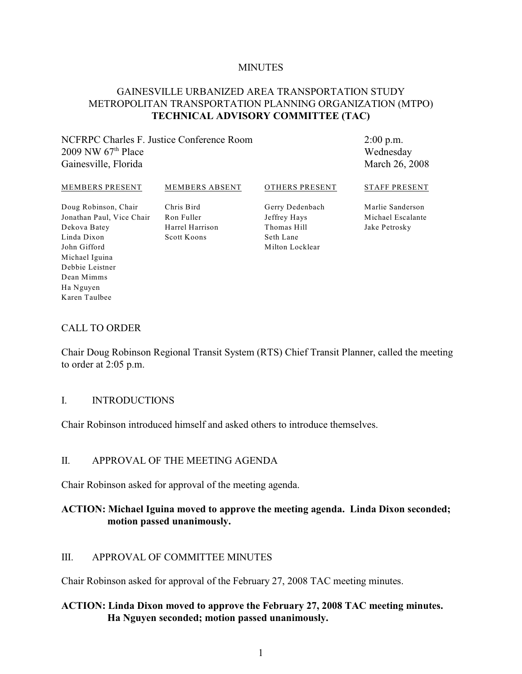#### **MINUTES**

#### GAINESVILLE URBANIZED AREA TRANSPORTATION STUDY METROPOLITAN TRANSPORTATION PLANNING ORGANIZATION (MTPO) **TECHNICAL ADVISORY COMMITTEE (TAC)**

#### NCFRPC Charles F. Justice Conference Room 2009 NW  $67<sup>th</sup>$  Place Gainesville, Florida

2:00 p.m. Wednesday March 26, 2008

#### MEMBERS PRESENT

MEMBERS ABSENT

OTHERS PRESENT

Doug Robinson, Chair Jonathan Paul, Vice Chair Ron Fuller Dekova Batey Linda Dixon John Gifford Michael Iguina Debbie Leistner Dean Mimms Ha Nguyen Karen Taulbee

Chris Bird Harrel Harrison Scott Koons

Gerry Dedenbach Jeffrey Hays Thomas Hill Seth Lane Milton Locklear

STAFF PRESENT

Marlie Sanderson Michael Escalante Jake Petrosky

#### CALL TO ORDER

Chair Doug Robinson Regional Transit System (RTS) Chief Transit Planner, called the meeting to order at 2:05 p.m.

#### I. INTRODUCTIONS

Chair Robinson introduced himself and asked others to introduce themselves.

#### II. APPROVAL OF THE MEETING AGENDA

Chair Robinson asked for approval of the meeting agenda.

### **ACTION: Michael Iguina moved to approve the meeting agenda. Linda Dixon seconded; motion passed unanimously.**

#### III. APPROVAL OF COMMITTEE MINUTES

Chair Robinson asked for approval of the February 27, 2008 TAC meeting minutes.

### **ACTION: Linda Dixon moved to approve the February 27, 2008 TAC meeting minutes. Ha Nguyen seconded; motion passed unanimously.**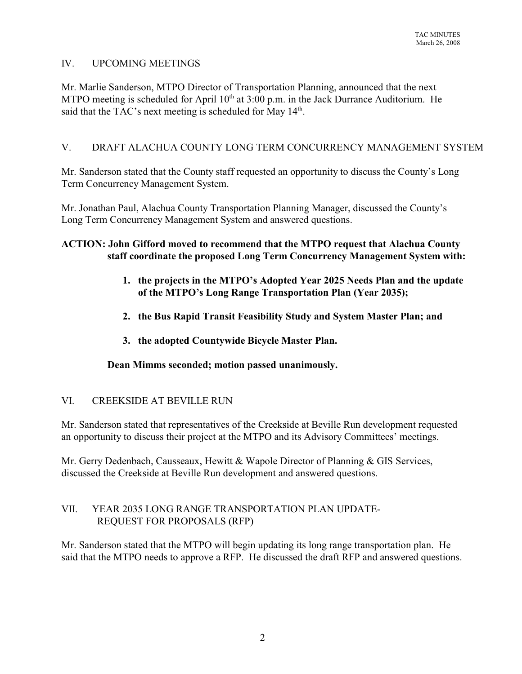## IV. UPCOMING MEETINGS

Mr. Marlie Sanderson, MTPO Director of Transportation Planning, announced that the next MTPO meeting is scheduled for April  $10<sup>th</sup>$  at  $3:00$  p.m. in the Jack Durrance Auditorium. He said that the TAC's next meeting is scheduled for May  $14<sup>th</sup>$ .

# V. DRAFT ALACHUA COUNTY LONG TERM CONCURRENCY MANAGEMENT SYSTEM

Mr. Sanderson stated that the County staff requested an opportunity to discuss the County's Long Term Concurrency Management System.

Mr. Jonathan Paul, Alachua County Transportation Planning Manager, discussed the County's Long Term Concurrency Management System and answered questions.

### **ACTION: John Gifford moved to recommend that the MTPO request that Alachua County staff coordinate the proposed Long Term Concurrency Management System with:**

- **1. the projects in the MTPO's Adopted Year 2025 Needs Plan and the update of the MTPO's Long Range Transportation Plan (Year 2035);**
- **2. the Bus Rapid Transit Feasibility Study and System Master Plan; and**
- **3. the adopted Countywide Bicycle Master Plan.**

**Dean Mimms seconded; motion passed unanimously.**

### VI. CREEKSIDE AT BEVILLE RUN

Mr. Sanderson stated that representatives of the Creekside at Beville Run development requested an opportunity to discuss their project at the MTPO and its Advisory Committees' meetings.

Mr. Gerry Dedenbach, Causseaux, Hewitt & Wapole Director of Planning & GIS Services, discussed the Creekside at Beville Run development and answered questions.

### VII. YEAR 2035 LONG RANGE TRANSPORTATION PLAN UPDATE- REQUEST FOR PROPOSALS (RFP)

Mr. Sanderson stated that the MTPO will begin updating its long range transportation plan. He said that the MTPO needs to approve a RFP. He discussed the draft RFP and answered questions.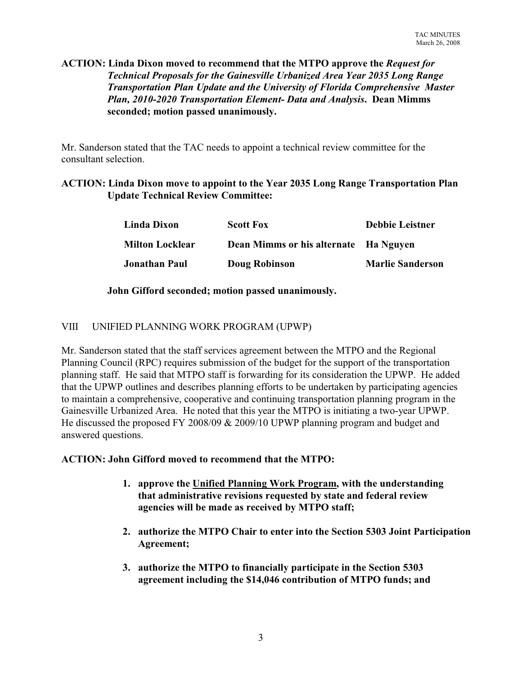### **ACTION: Linda Dixon moved to recommend that the MTPO approve the** *Request for Technical Proposals for the Gainesville Urbanized Area Year 2035 Long Range Transportation Plan Update and the University of Florida Comprehensive Master Plan, 2010-2020 Transportation Element- Data and Analysis***. Dean Mimms seconded; motion passed unanimously.**

Mr. Sanderson stated that the TAC needs to appoint a technical review committee for the consultant selection.

## **ACTION: Linda Dixon move to appoint to the Year 2035 Long Range Transportation Plan Update Technical Review Committee:**

| Linda Dixon            | <b>Scott Fox</b>                      | <b>Debbie Leistner</b>  |
|------------------------|---------------------------------------|-------------------------|
| <b>Milton Locklear</b> | Dean Mimms or his alternate Ha Nguyen |                         |
| <b>Jonathan Paul</b>   | Doug Robinson                         | <b>Marlie Sanderson</b> |

### **John Gifford seconded; motion passed unanimously.**

#### VIII UNIFIED PLANNING WORK PROGRAM (UPWP)

Mr. Sanderson stated that the staff services agreement between the MTPO and the Regional Planning Council (RPC) requires submission of the budget for the support of the transportation planning staff. He said that MTPO staff is forwarding for its consideration the UPWP. He added that the UPWP outlines and describes planning efforts to be undertaken by participating agencies to maintain a comprehensive, cooperative and continuing transportation planning program in the Gainesville Urbanized Area. He noted that this year the MTPO is initiating a two-year UPWP. He discussed the proposed FY 2008/09 & 2009/10 UPWP planning program and budget and answered questions.

#### **ACTION: John Gifford moved to recommend that the MTPO:**

- **1. approve the Unified Planning Work Program, with the understanding that administrative revisions requested by state and federal review agencies will be made as received by MTPO staff;**
- **2. authorize the MTPO Chair to enter into the Section 5303 Joint Participation Agreement;**
- **3. authorize the MTPO to financially participate in the Section 5303 agreement including the \$14,046 contribution of MTPO funds; and**